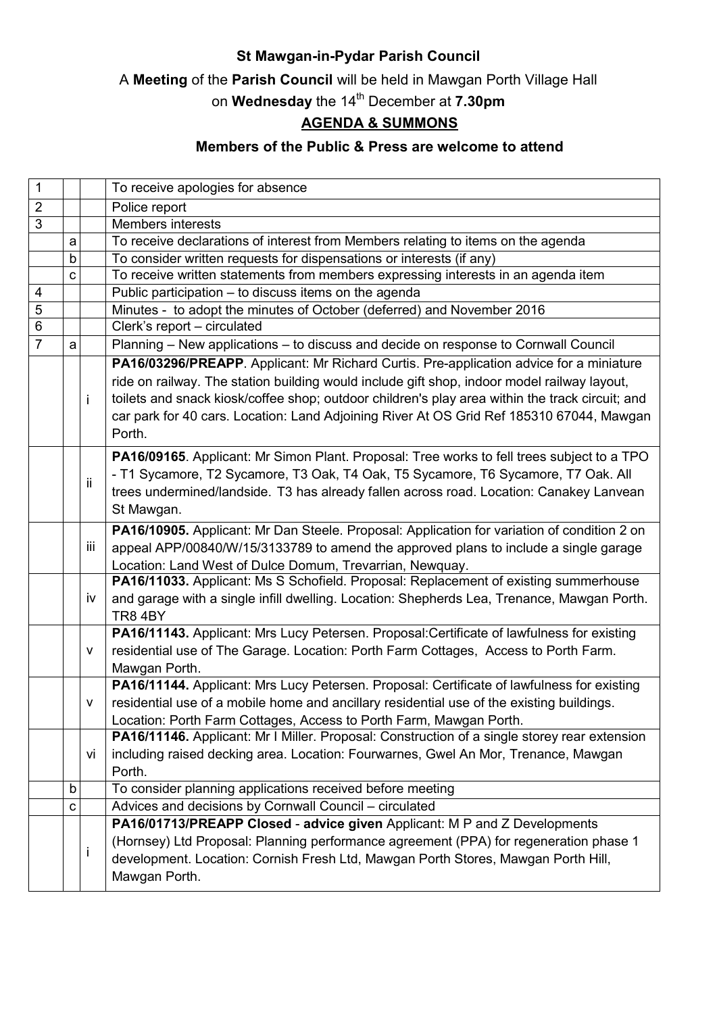## St Mawgan-in-Pydar Parish Council

A Meeting of the Parish Council will be held in Mawgan Porth Village Hall

on Wednesday the 14<sup>th</sup> December at 7.30pm

## AGENDA & SUMMONS

## Members of the Public & Press are welcome to attend

| $\mathbf 1$    |   |     | To receive apologies for absence                                                                |
|----------------|---|-----|-------------------------------------------------------------------------------------------------|
| $\overline{2}$ |   |     | Police report                                                                                   |
| $\overline{3}$ |   |     | Members interests                                                                               |
|                | a |     | To receive declarations of interest from Members relating to items on the agenda                |
|                | b |     | To consider written requests for dispensations or interests (if any)                            |
|                | C |     | To receive written statements from members expressing interests in an agenda item               |
| 4              |   |     | Public participation - to discuss items on the agenda                                           |
| $\overline{5}$ |   |     | Minutes - to adopt the minutes of October (deferred) and November 2016                          |
| $6\phantom{1}$ |   |     | Clerk's report - circulated                                                                     |
| $\overline{7}$ | a |     | Planning – New applications – to discuss and decide on response to Cornwall Council             |
|                |   |     | PA16/03296/PREAPP. Applicant: Mr Richard Curtis. Pre-application advice for a miniature         |
|                |   |     | ride on railway. The station building would include gift shop, indoor model railway layout,     |
|                |   | İ.  | toilets and snack kiosk/coffee shop; outdoor children's play area within the track circuit; and |
|                |   |     | car park for 40 cars. Location: Land Adjoining River At OS Grid Ref 185310 67044, Mawgan        |
|                |   |     | Porth.                                                                                          |
|                |   |     | PA16/09165. Applicant: Mr Simon Plant. Proposal: Tree works to fell trees subject to a TPO      |
|                |   |     | - T1 Sycamore, T2 Sycamore, T3 Oak, T4 Oak, T5 Sycamore, T6 Sycamore, T7 Oak. All               |
|                |   | ij. | trees undermined/landside. T3 has already fallen across road. Location: Canakey Lanvean         |
|                |   |     | St Mawgan.                                                                                      |
|                |   |     | PA16/10905. Applicant: Mr Dan Steele. Proposal: Application for variation of condition 2 on     |
|                |   | iij | appeal APP/00840/W/15/3133789 to amend the approved plans to include a single garage            |
|                |   |     | Location: Land West of Dulce Domum, Trevarrian, Newquay.                                        |
|                |   |     | PA16/11033. Applicant: Ms S Schofield. Proposal: Replacement of existing summerhouse            |
|                |   | İV  | and garage with a single infill dwelling. Location: Shepherds Lea, Trenance, Mawgan Porth.      |
|                |   |     | <b>TR8 4BY</b>                                                                                  |
|                |   |     | PA16/11143. Applicant: Mrs Lucy Petersen. Proposal:Certificate of lawfulness for existing       |
|                |   | v   | residential use of The Garage. Location: Porth Farm Cottages, Access to Porth Farm.             |
|                |   |     | Mawgan Porth.                                                                                   |
|                |   |     | PA16/11144. Applicant: Mrs Lucy Petersen. Proposal: Certificate of lawfulness for existing      |
|                |   | v   | residential use of a mobile home and ancillary residential use of the existing buildings.       |
|                |   |     | Location: Porth Farm Cottages, Access to Porth Farm, Mawgan Porth.                              |
|                |   |     | PA16/11146. Applicant: Mr I Miller. Proposal: Construction of a single storey rear extension    |
|                |   | VÌ  | including raised decking area. Location: Fourwarnes, Gwel An Mor, Trenance, Mawgan              |
|                |   |     | Porth.                                                                                          |
|                | b |     | To consider planning applications received before meeting                                       |
|                | с |     | Advices and decisions by Cornwall Council - circulated                                          |
|                |   |     | PA16/01713/PREAPP Closed - advice given Applicant: M P and Z Developments                       |
|                |   |     | (Hornsey) Ltd Proposal: Planning performance agreement (PPA) for regeneration phase 1           |
|                |   | ı   | development. Location: Cornish Fresh Ltd, Mawgan Porth Stores, Mawgan Porth Hill,               |
|                |   |     | Mawgan Porth.                                                                                   |
|                |   |     |                                                                                                 |